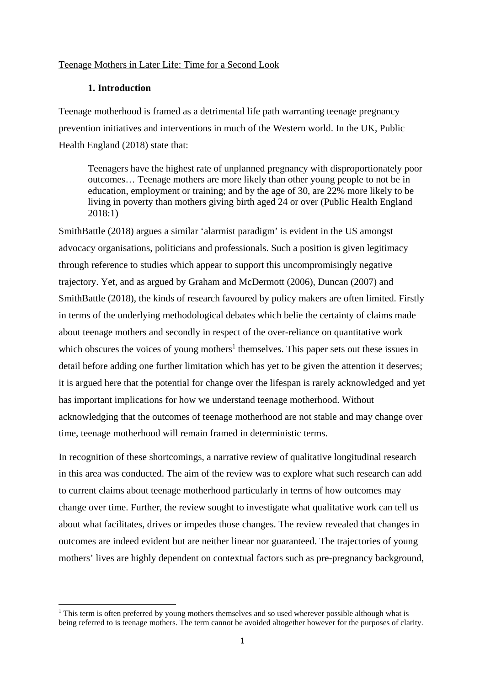## Teenage Mothers in Later Life: Time for a Second Look

# **1. Introduction**

**.** 

Teenage motherhood is framed as a detrimental life path warranting teenage pregnancy prevention initiatives and interventions in much of the Western world. In the UK, Public Health England (2018) state that:

Teenagers have the highest rate of unplanned pregnancy with disproportionately poor outcomes… Teenage mothers are more likely than other young people to not be in education, employment or training; and by the age of 30, are 22% more likely to be living in poverty than mothers giving birth aged 24 or over (Public Health England 2018:1)

SmithBattle (2018) argues a similar 'alarmist paradigm' is evident in the US amongst advocacy organisations, politicians and professionals. Such a position is given legitimacy through reference to studies which appear to support this uncompromisingly negative trajectory. Yet, and as argued by Graham and McDermott (2006), Duncan (2007) and SmithBattle (2018), the kinds of research favoured by policy makers are often limited. Firstly in terms of the underlying methodological debates which belie the certainty of claims made about teenage mothers and secondly in respect of the over-reliance on quantitative work which obscures the voices of young mothers<sup>1</sup> themselves. This paper sets out these issues in detail before adding one further limitation which has yet to be given the attention it deserves; it is argued here that the potential for change over the lifespan is rarely acknowledged and yet has important implications for how we understand teenage motherhood. Without acknowledging that the outcomes of teenage motherhood are not stable and may change over time, teenage motherhood will remain framed in deterministic terms.

In recognition of these shortcomings, a narrative review of qualitative longitudinal research in this area was conducted. The aim of the review was to explore what such research can add to current claims about teenage motherhood particularly in terms of how outcomes may change over time. Further, the review sought to investigate what qualitative work can tell us about what facilitates, drives or impedes those changes. The review revealed that changes in outcomes are indeed evident but are neither linear nor guaranteed. The trajectories of young mothers' lives are highly dependent on contextual factors such as pre-pregnancy background,

<sup>&</sup>lt;sup>1</sup> This term is often preferred by young mothers themselves and so used wherever possible although what is being referred to is teenage mothers. The term cannot be avoided altogether however for the purposes of clarity.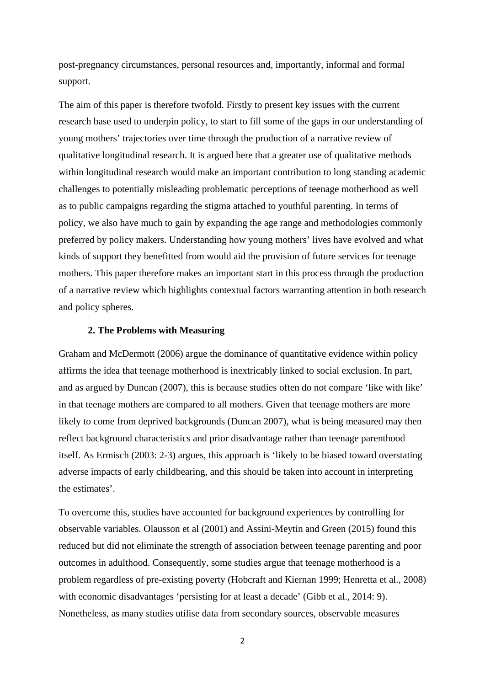post-pregnancy circumstances, personal resources and, importantly, informal and formal support.

The aim of this paper is therefore twofold. Firstly to present key issues with the current research base used to underpin policy, to start to fill some of the gaps in our understanding of young mothers' trajectories over time through the production of a narrative review of qualitative longitudinal research. It is argued here that a greater use of qualitative methods within longitudinal research would make an important contribution to long standing academic challenges to potentially misleading problematic perceptions of teenage motherhood as well as to public campaigns regarding the stigma attached to youthful parenting. In terms of policy, we also have much to gain by expanding the age range and methodologies commonly preferred by policy makers. Understanding how young mothers' lives have evolved and what kinds of support they benefitted from would aid the provision of future services for teenage mothers. This paper therefore makes an important start in this process through the production of a narrative review which highlights contextual factors warranting attention in both research and policy spheres.

## **2. The Problems with Measuring**

Graham and McDermott (2006) argue the dominance of quantitative evidence within policy affirms the idea that teenage motherhood is inextricably linked to social exclusion. In part, and as argued by Duncan (2007), this is because studies often do not compare 'like with like' in that teenage mothers are compared to all mothers. Given that teenage mothers are more likely to come from deprived backgrounds (Duncan 2007), what is being measured may then reflect background characteristics and prior disadvantage rather than teenage parenthood itself. As Ermisch (2003: 2-3) argues, this approach is 'likely to be biased toward overstating adverse impacts of early childbearing, and this should be taken into account in interpreting the estimates'.

To overcome this, studies have accounted for background experiences by controlling for observable variables. Olausson et al (2001) and Assini-Meytin and Green (2015) found this reduced but did not eliminate the strength of association between teenage parenting and poor outcomes in adulthood. Consequently, some studies argue that teenage motherhood is a problem regardless of pre-existing poverty (Hobcraft and Kiernan 1999; Henretta et al., 2008) with economic disadvantages 'persisting for at least a decade' (Gibb et al., 2014: 9). Nonetheless, as many studies utilise data from secondary sources, observable measures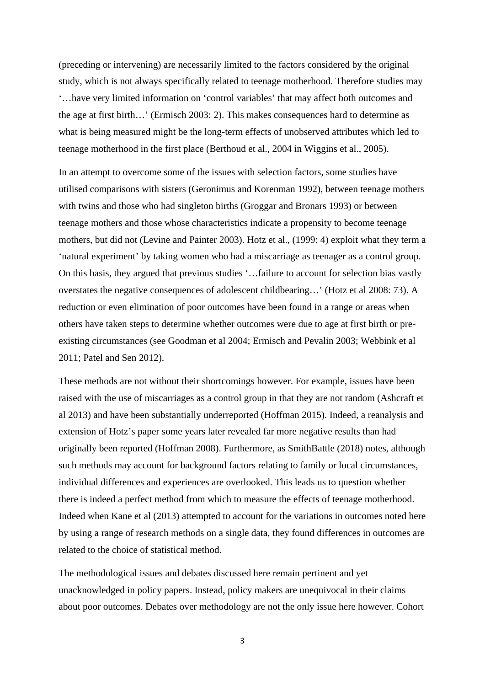(preceding or intervening) are necessarily limited to the factors considered by the original study, which is not always specifically related to teenage motherhood. Therefore studies may '…have very limited information on 'control variables' that may affect both outcomes and the age at first birth…' (Ermisch 2003: 2). This makes consequences hard to determine as what is being measured might be the long-term effects of unobserved attributes which led to teenage motherhood in the first place (Berthoud et al., 2004 in Wiggins et al., 2005).

In an attempt to overcome some of the issues with selection factors, some studies have utilised comparisons with sisters (Geronimus and Korenman 1992), between teenage mothers with twins and those who had singleton births (Groggar and Bronars 1993) or between teenage mothers and those whose characteristics indicate a propensity to become teenage mothers, but did not (Levine and Painter 2003). Hotz et al., (1999: 4) exploit what they term a 'natural experiment' by taking women who had a miscarriage as teenager as a control group. On this basis, they argued that previous studies '…failure to account for selection bias vastly overstates the negative consequences of adolescent childbearing…' (Hotz et al 2008: 73). A reduction or even elimination of poor outcomes have been found in a range or areas when others have taken steps to determine whether outcomes were due to age at first birth or preexisting circumstances (see Goodman et al 2004; Ermisch and Pevalin 2003; Webbink et al 2011; Patel and Sen 2012).

These methods are not without their shortcomings however. For example, issues have been raised with the use of miscarriages as a control group in that they are not random (Ashcraft et al 2013) and have been substantially underreported (Hoffman 2015). Indeed, a reanalysis and extension of Hotz's paper some years later revealed far more negative results than had originally been reported (Hoffman 2008). Furthermore, as SmithBattle (2018) notes, although such methods may account for background factors relating to family or local circumstances, individual differences and experiences are overlooked. This leads us to question whether there is indeed a perfect method from which to measure the effects of teenage motherhood. Indeed when Kane et al (2013) attempted to account for the variations in outcomes noted here by using a range of research methods on a single data, they found differences in outcomes are related to the choice of statistical method.

The methodological issues and debates discussed here remain pertinent and yet unacknowledged in policy papers. Instead, policy makers are unequivocal in their claims about poor outcomes. Debates over methodology are not the only issue here however. Cohort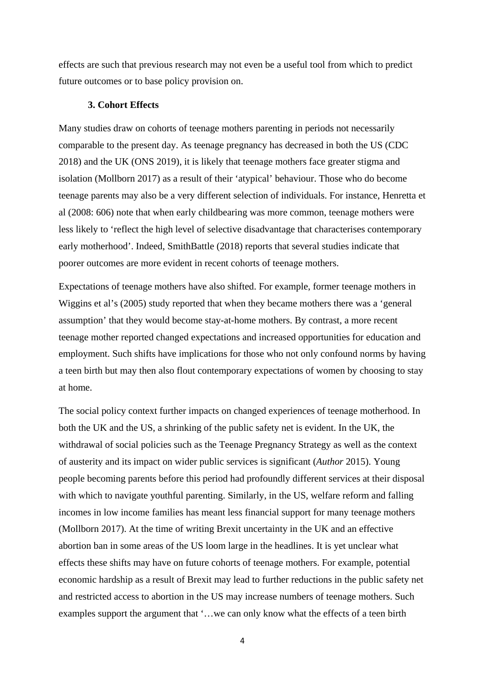effects are such that previous research may not even be a useful tool from which to predict future outcomes or to base policy provision on.

#### **3. Cohort Effects**

Many studies draw on cohorts of teenage mothers parenting in periods not necessarily comparable to the present day. As teenage pregnancy has decreased in both the US (CDC 2018) and the UK (ONS 2019), it is likely that teenage mothers face greater stigma and isolation (Mollborn 2017) as a result of their 'atypical' behaviour. Those who do become teenage parents may also be a very different selection of individuals. For instance, Henretta et al (2008: 606) note that when early childbearing was more common, teenage mothers were less likely to 'reflect the high level of selective disadvantage that characterises contemporary early motherhood'. Indeed, SmithBattle (2018) reports that several studies indicate that poorer outcomes are more evident in recent cohorts of teenage mothers.

Expectations of teenage mothers have also shifted. For example, former teenage mothers in Wiggins et al's (2005) study reported that when they became mothers there was a 'general assumption' that they would become stay-at-home mothers. By contrast, a more recent teenage mother reported changed expectations and increased opportunities for education and employment. Such shifts have implications for those who not only confound norms by having a teen birth but may then also flout contemporary expectations of women by choosing to stay at home.

The social policy context further impacts on changed experiences of teenage motherhood. In both the UK and the US, a shrinking of the public safety net is evident. In the UK, the withdrawal of social policies such as the Teenage Pregnancy Strategy as well as the context of austerity and its impact on wider public services is significant (*Author* 2015). Young people becoming parents before this period had profoundly different services at their disposal with which to navigate youthful parenting. Similarly, in the US, welfare reform and falling incomes in low income families has meant less financial support for many teenage mothers (Mollborn 2017). At the time of writing Brexit uncertainty in the UK and an effective abortion ban in some areas of the US loom large in the headlines. It is yet unclear what effects these shifts may have on future cohorts of teenage mothers. For example, potential economic hardship as a result of Brexit may lead to further reductions in the public safety net and restricted access to abortion in the US may increase numbers of teenage mothers. Such examples support the argument that '…we can only know what the effects of a teen birth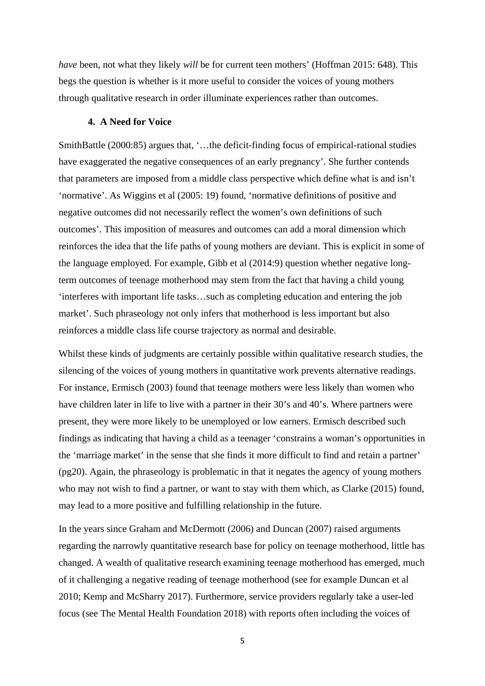*have* been, not what they likely *will* be for current teen mothers' (Hoffman 2015: 648). This begs the question is whether is it more useful to consider the voices of young mothers through qualitative research in order illuminate experiences rather than outcomes.

# **4. A Need for Voice**

SmithBattle (2000:85) argues that, '…the deficit-finding focus of empirical-rational studies have exaggerated the negative consequences of an early pregnancy'. She further contends that parameters are imposed from a middle class perspective which define what is and isn't 'normative'. As Wiggins et al (2005: 19) found, 'normative definitions of positive and negative outcomes did not necessarily reflect the women's own definitions of such outcomes'. This imposition of measures and outcomes can add a moral dimension which reinforces the idea that the life paths of young mothers are deviant. This is explicit in some of the language employed. For example, Gibb et al (2014:9) question whether negative longterm outcomes of teenage motherhood may stem from the fact that having a child young 'interferes with important life tasks…such as completing education and entering the job market'. Such phraseology not only infers that motherhood is less important but also reinforces a middle class life course trajectory as normal and desirable.

Whilst these kinds of judgments are certainly possible within qualitative research studies, the silencing of the voices of young mothers in quantitative work prevents alternative readings. For instance, Ermisch (2003) found that teenage mothers were less likely than women who have children later in life to live with a partner in their 30's and 40's. Where partners were present, they were more likely to be unemployed or low earners. Ermisch described such findings as indicating that having a child as a teenager 'constrains a woman's opportunities in the 'marriage market' in the sense that she finds it more difficult to find and retain a partner' (pg20). Again, the phraseology is problematic in that it negates the agency of young mothers who may not wish to find a partner, or want to stay with them which, as Clarke (2015) found, may lead to a more positive and fulfilling relationship in the future.

In the years since Graham and McDermott (2006) and Duncan (2007) raised arguments regarding the narrowly quantitative research base for policy on teenage motherhood, little has changed. A wealth of qualitative research examining teenage motherhood has emerged, much of it challenging a negative reading of teenage motherhood (see for example Duncan et al 2010; Kemp and McSharry 2017). Furthermore, service providers regularly take a user-led focus (see The Mental Health Foundation 2018) with reports often including the voices of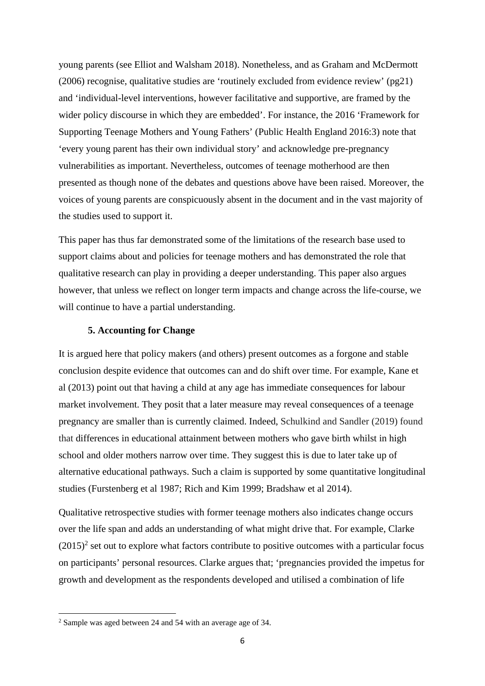young parents (see Elliot and Walsham 2018). Nonetheless, and as Graham and McDermott (2006) recognise, qualitative studies are 'routinely excluded from evidence review' (pg21) and 'individual-level interventions, however facilitative and supportive, are framed by the wider policy discourse in which they are embedded'. For instance, the 2016 'Framework for Supporting Teenage Mothers and Young Fathers' (Public Health England 2016:3) note that 'every young parent has their own individual story' and acknowledge pre-pregnancy vulnerabilities as important. Nevertheless, outcomes of teenage motherhood are then presented as though none of the debates and questions above have been raised. Moreover, the voices of young parents are conspicuously absent in the document and in the vast majority of the studies used to support it.

This paper has thus far demonstrated some of the limitations of the research base used to support claims about and policies for teenage mothers and has demonstrated the role that qualitative research can play in providing a deeper understanding. This paper also argues however, that unless we reflect on longer term impacts and change across the life-course, we will continue to have a partial understanding.

## **5. Accounting for Change**

It is argued here that policy makers (and others) present outcomes as a forgone and stable conclusion despite evidence that outcomes can and do shift over time. For example, Kane et al (2013) point out that having a child at any age has immediate consequences for labour market involvement. They posit that a later measure may reveal consequences of a teenage pregnancy are smaller than is currently claimed. Indeed, Schulkind and Sandler (2019) found that differences in educational attainment between mothers who gave birth whilst in high school and older mothers narrow over time. They suggest this is due to later take up of alternative educational pathways. Such a claim is supported by some quantitative longitudinal studies (Furstenberg et al 1987; Rich and Kim 1999; Bradshaw et al 2014).

Qualitative retrospective studies with former teenage mothers also indicates change occurs over the life span and adds an understanding of what might drive that. For example, Clarke  $(2015)^2$  set out to explore what factors contribute to positive outcomes with a particular focus on participants' personal resources. Clarke argues that; 'pregnancies provided the impetus for growth and development as the respondents developed and utilised a combination of life

 $\overline{a}$ 

<sup>2</sup> Sample was aged between 24 and 54 with an average age of 34.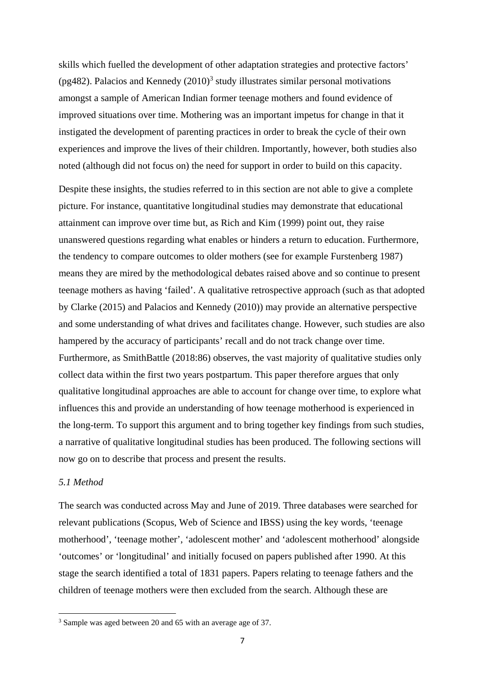skills which fuelled the development of other adaptation strategies and protective factors' (pg482). Palacios and Kennedy (2010) <sup>3</sup> study illustrates similar personal motivations amongst a sample of American Indian former teenage mothers and found evidence of improved situations over time. Mothering was an important impetus for change in that it instigated the development of parenting practices in order to break the cycle of their own experiences and improve the lives of their children. Importantly, however, both studies also noted (although did not focus on) the need for support in order to build on this capacity.

Despite these insights, the studies referred to in this section are not able to give a complete picture. For instance, quantitative longitudinal studies may demonstrate that educational attainment can improve over time but, as Rich and Kim (1999) point out, they raise unanswered questions regarding what enables or hinders a return to education. Furthermore, the tendency to compare outcomes to older mothers (see for example Furstenberg 1987) means they are mired by the methodological debates raised above and so continue to present teenage mothers as having 'failed'. A qualitative retrospective approach (such as that adopted by Clarke (2015) and Palacios and Kennedy (2010)) may provide an alternative perspective and some understanding of what drives and facilitates change. However, such studies are also hampered by the accuracy of participants' recall and do not track change over time. Furthermore, as SmithBattle (2018:86) observes, the vast majority of qualitative studies only collect data within the first two years postpartum. This paper therefore argues that only qualitative longitudinal approaches are able to account for change over time, to explore what influences this and provide an understanding of how teenage motherhood is experienced in the long-term. To support this argument and to bring together key findings from such studies, a narrative of qualitative longitudinal studies has been produced. The following sections will now go on to describe that process and present the results.

### *5.1 Method*

 $\overline{a}$ 

The search was conducted across May and June of 2019. Three databases were searched for relevant publications (Scopus, Web of Science and IBSS) using the key words, 'teenage motherhood', 'teenage mother', 'adolescent mother' and 'adolescent motherhood' alongside 'outcomes' or 'longitudinal' and initially focused on papers published after 1990. At this stage the search identified a total of 1831 papers. Papers relating to teenage fathers and the children of teenage mothers were then excluded from the search. Although these are

<sup>3</sup> Sample was aged between 20 and 65 with an average age of 37.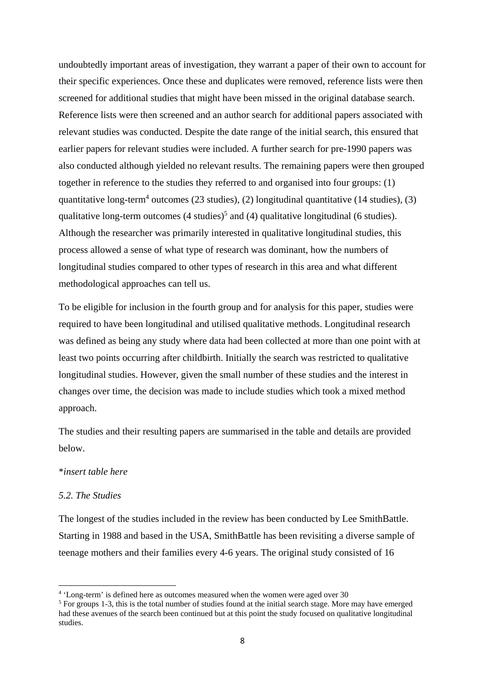undoubtedly important areas of investigation, they warrant a paper of their own to account for their specific experiences. Once these and duplicates were removed, reference lists were then screened for additional studies that might have been missed in the original database search. Reference lists were then screened and an author search for additional papers associated with relevant studies was conducted. Despite the date range of the initial search, this ensured that earlier papers for relevant studies were included. A further search for pre-1990 papers was also conducted although yielded no relevant results. The remaining papers were then grouped together in reference to the studies they referred to and organised into four groups: (1) quantitative long-term<sup>4</sup> outcomes (23 studies), (2) longitudinal quantitative (14 studies), (3) qualitative long-term outcomes (4 studies)<sup>5</sup> and (4) qualitative longitudinal (6 studies). Although the researcher was primarily interested in qualitative longitudinal studies, this process allowed a sense of what type of research was dominant, how the numbers of longitudinal studies compared to other types of research in this area and what different methodological approaches can tell us.

To be eligible for inclusion in the fourth group and for analysis for this paper, studies were required to have been longitudinal and utilised qualitative methods. Longitudinal research was defined as being any study where data had been collected at more than one point with at least two points occurring after childbirth. Initially the search was restricted to qualitative longitudinal studies. However, given the small number of these studies and the interest in changes over time, the decision was made to include studies which took a mixed method approach.

The studies and their resulting papers are summarised in the table and details are provided below.

# \**insert table here*

## *5.2. The Studies*

 $\overline{a}$ 

The longest of the studies included in the review has been conducted by Lee SmithBattle. Starting in 1988 and based in the USA, SmithBattle has been revisiting a diverse sample of teenage mothers and their families every 4-6 years. The original study consisted of 16

<sup>4</sup> 'Long-term' is defined here as outcomes measured when the women were aged over 30

<sup>5</sup> For groups 1-3, this is the total number of studies found at the initial search stage. More may have emerged had these avenues of the search been continued but at this point the study focused on qualitative longitudinal studies.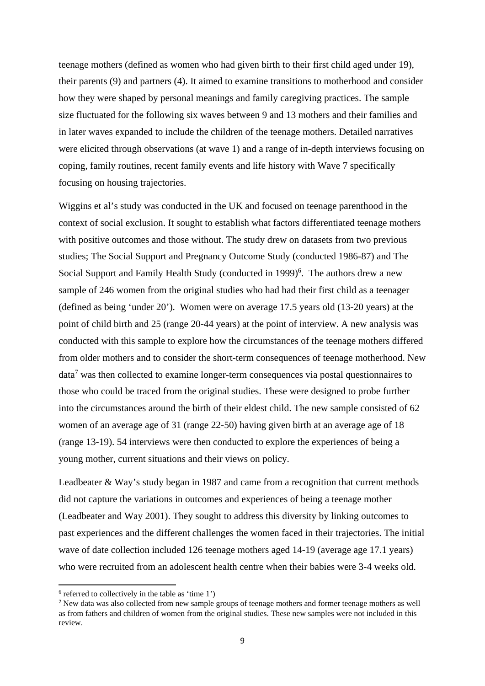teenage mothers (defined as women who had given birth to their first child aged under 19), their parents (9) and partners (4). It aimed to examine transitions to motherhood and consider how they were shaped by personal meanings and family caregiving practices. The sample size fluctuated for the following six waves between 9 and 13 mothers and their families and in later waves expanded to include the children of the teenage mothers. Detailed narratives were elicited through observations (at wave 1) and a range of in-depth interviews focusing on coping, family routines, recent family events and life history with Wave 7 specifically focusing on housing trajectories.

Wiggins et al's study was conducted in the UK and focused on teenage parenthood in the context of social exclusion. It sought to establish what factors differentiated teenage mothers with positive outcomes and those without. The study drew on datasets from two previous studies; The Social Support and Pregnancy Outcome Study (conducted 1986-87) and The Social Support and Family Health Study (conducted in 1999)<sup>6</sup>. The authors drew a new sample of 246 women from the original studies who had had their first child as a teenager (defined as being 'under 20'). Women were on average 17.5 years old (13-20 years) at the point of child birth and 25 (range 20-44 years) at the point of interview. A new analysis was conducted with this sample to explore how the circumstances of the teenage mothers differed from older mothers and to consider the short-term consequences of teenage motherhood. New  $data<sup>7</sup>$  was then collected to examine longer-term consequences via postal questionnaires to those who could be traced from the original studies. These were designed to probe further into the circumstances around the birth of their eldest child. The new sample consisted of 62 women of an average age of 31 (range 22-50) having given birth at an average age of 18 (range 13-19). 54 interviews were then conducted to explore the experiences of being a young mother, current situations and their views on policy.

Leadbeater & Way's study began in 1987 and came from a recognition that current methods did not capture the variations in outcomes and experiences of being a teenage mother (Leadbeater and Way 2001). They sought to address this diversity by linking outcomes to past experiences and the different challenges the women faced in their trajectories. The initial wave of date collection included 126 teenage mothers aged 14-19 (average age 17.1 years) who were recruited from an adolescent health centre when their babies were 3-4 weeks old.

 $\overline{a}$ 

 $6$  referred to collectively in the table as 'time 1')

<sup>7</sup> New data was also collected from new sample groups of teenage mothers and former teenage mothers as well as from fathers and children of women from the original studies. These new samples were not included in this review.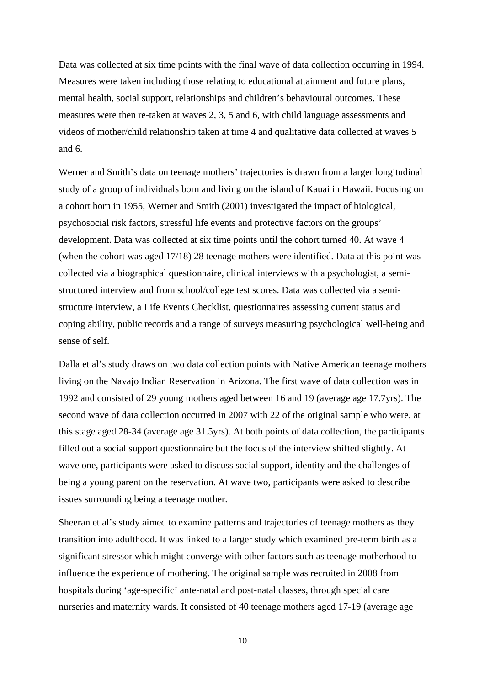Data was collected at six time points with the final wave of data collection occurring in 1994. Measures were taken including those relating to educational attainment and future plans, mental health, social support, relationships and children's behavioural outcomes. These measures were then re-taken at waves 2, 3, 5 and 6, with child language assessments and videos of mother/child relationship taken at time 4 and qualitative data collected at waves 5 and 6.

Werner and Smith's data on teenage mothers' trajectories is drawn from a larger longitudinal study of a group of individuals born and living on the island of Kauai in Hawaii. Focusing on a cohort born in 1955, Werner and Smith (2001) investigated the impact of biological, psychosocial risk factors, stressful life events and protective factors on the groups' development. Data was collected at six time points until the cohort turned 40. At wave 4 (when the cohort was aged 17/18) 28 teenage mothers were identified. Data at this point was collected via a biographical questionnaire, clinical interviews with a psychologist, a semistructured interview and from school/college test scores. Data was collected via a semistructure interview, a Life Events Checklist, questionnaires assessing current status and coping ability, public records and a range of surveys measuring psychological well-being and sense of self.

Dalla et al's study draws on two data collection points with Native American teenage mothers living on the Navajo Indian Reservation in Arizona. The first wave of data collection was in 1992 and consisted of 29 young mothers aged between 16 and 19 (average age 17.7yrs). The second wave of data collection occurred in 2007 with 22 of the original sample who were, at this stage aged 28-34 (average age 31.5yrs). At both points of data collection, the participants filled out a social support questionnaire but the focus of the interview shifted slightly. At wave one, participants were asked to discuss social support, identity and the challenges of being a young parent on the reservation. At wave two, participants were asked to describe issues surrounding being a teenage mother.

Sheeran et al's study aimed to examine patterns and trajectories of teenage mothers as they transition into adulthood. It was linked to a larger study which examined pre-term birth as a significant stressor which might converge with other factors such as teenage motherhood to influence the experience of mothering. The original sample was recruited in 2008 from hospitals during 'age-specific' ante-natal and post-natal classes, through special care nurseries and maternity wards. It consisted of 40 teenage mothers aged 17-19 (average age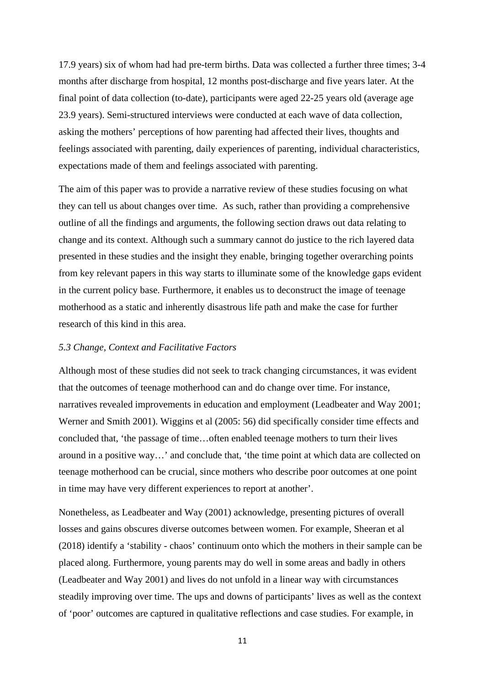17.9 years) six of whom had had pre-term births. Data was collected a further three times; 3-4 months after discharge from hospital, 12 months post-discharge and five years later. At the final point of data collection (to-date), participants were aged 22-25 years old (average age 23.9 years). Semi-structured interviews were conducted at each wave of data collection, asking the mothers' perceptions of how parenting had affected their lives, thoughts and feelings associated with parenting, daily experiences of parenting, individual characteristics, expectations made of them and feelings associated with parenting.

The aim of this paper was to provide a narrative review of these studies focusing on what they can tell us about changes over time. As such, rather than providing a comprehensive outline of all the findings and arguments, the following section draws out data relating to change and its context. Although such a summary cannot do justice to the rich layered data presented in these studies and the insight they enable, bringing together overarching points from key relevant papers in this way starts to illuminate some of the knowledge gaps evident in the current policy base. Furthermore, it enables us to deconstruct the image of teenage motherhood as a static and inherently disastrous life path and make the case for further research of this kind in this area.

### *5.3 Change, Context and Facilitative Factors*

Although most of these studies did not seek to track changing circumstances, it was evident that the outcomes of teenage motherhood can and do change over time. For instance, narratives revealed improvements in education and employment (Leadbeater and Way 2001; Werner and Smith 2001). Wiggins et al (2005: 56) did specifically consider time effects and concluded that, 'the passage of time…often enabled teenage mothers to turn their lives around in a positive way…' and conclude that, 'the time point at which data are collected on teenage motherhood can be crucial, since mothers who describe poor outcomes at one point in time may have very different experiences to report at another'.

Nonetheless, as Leadbeater and Way (2001) acknowledge, presenting pictures of overall losses and gains obscures diverse outcomes between women. For example, Sheeran et al (2018) identify a 'stability - chaos' continuum onto which the mothers in their sample can be placed along. Furthermore, young parents may do well in some areas and badly in others (Leadbeater and Way 2001) and lives do not unfold in a linear way with circumstances steadily improving over time. The ups and downs of participants' lives as well as the context of 'poor' outcomes are captured in qualitative reflections and case studies. For example, in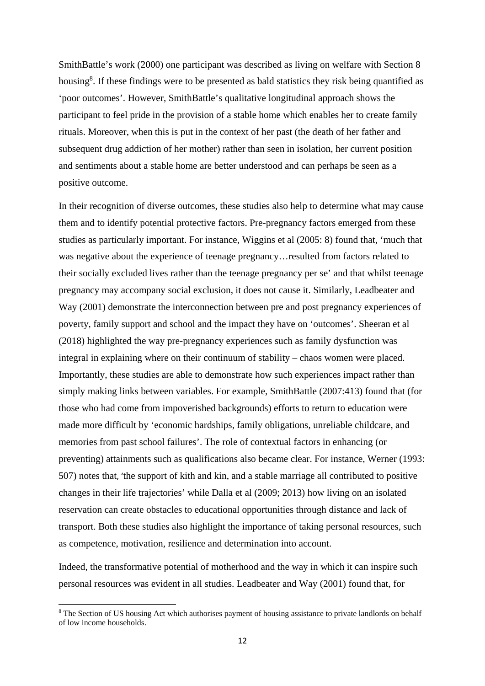SmithBattle's work (2000) one participant was described as living on welfare with Section 8 housing<sup>8</sup>. If these findings were to be presented as bald statistics they risk being quantified as 'poor outcomes'. However, SmithBattle's qualitative longitudinal approach shows the participant to feel pride in the provision of a stable home which enables her to create family rituals. Moreover, when this is put in the context of her past (the death of her father and subsequent drug addiction of her mother) rather than seen in isolation, her current position and sentiments about a stable home are better understood and can perhaps be seen as a positive outcome.

In their recognition of diverse outcomes, these studies also help to determine what may cause them and to identify potential protective factors. Pre-pregnancy factors emerged from these studies as particularly important. For instance, Wiggins et al (2005: 8) found that, 'much that was negative about the experience of teenage pregnancy…resulted from factors related to their socially excluded lives rather than the teenage pregnancy per se' and that whilst teenage pregnancy may accompany social exclusion, it does not cause it. Similarly, Leadbeater and Way (2001) demonstrate the interconnection between pre and post pregnancy experiences of poverty, family support and school and the impact they have on 'outcomes'. Sheeran et al (2018) highlighted the way pre-pregnancy experiences such as family dysfunction was integral in explaining where on their continuum of stability – chaos women were placed. Importantly, these studies are able to demonstrate how such experiences impact rather than simply making links between variables. For example, SmithBattle (2007:413) found that (for those who had come from impoverished backgrounds) efforts to return to education were made more difficult by 'economic hardships, family obligations, unreliable childcare, and memories from past school failures'. The role of contextual factors in enhancing (or preventing) attainments such as qualifications also became clear. For instance, Werner (1993: 507) notes that, 'the support of kith and kin, and a stable marriage all contributed to positive changes in their life trajectories' while Dalla et al (2009; 2013) how living on an isolated reservation can create obstacles to educational opportunities through distance and lack of transport. Both these studies also highlight the importance of taking personal resources, such as competence, motivation, resilience and determination into account.

Indeed, the transformative potential of motherhood and the way in which it can inspire such personal resources was evident in all studies. Leadbeater and Way (2001) found that, for

**.** 

<sup>&</sup>lt;sup>8</sup> The Section of US housing Act which authorises payment of housing assistance to private landlords on behalf of low income households.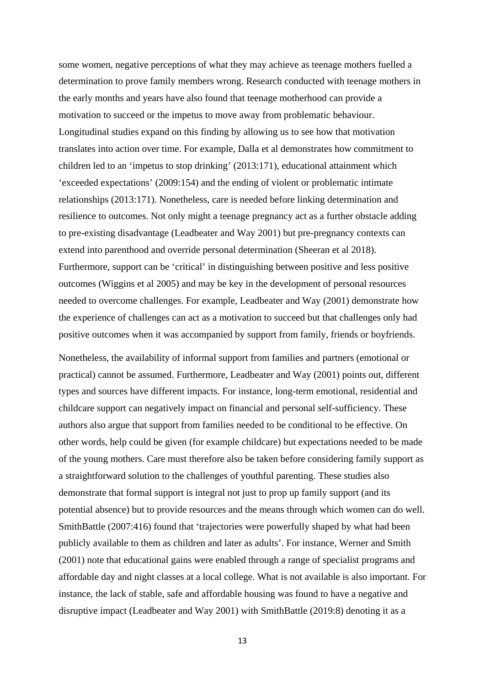some women, negative perceptions of what they may achieve as teenage mothers fuelled a determination to prove family members wrong. Research conducted with teenage mothers in the early months and years have also found that teenage motherhood can provide a motivation to succeed or the impetus to move away from problematic behaviour. Longitudinal studies expand on this finding by allowing us to see how that motivation translates into action over time. For example, Dalla et al demonstrates how commitment to children led to an 'impetus to stop drinking' (2013:171), educational attainment which 'exceeded expectations' (2009:154) and the ending of violent or problematic intimate relationships (2013:171). Nonetheless, care is needed before linking determination and resilience to outcomes. Not only might a teenage pregnancy act as a further obstacle adding to pre-existing disadvantage (Leadbeater and Way 2001) but pre-pregnancy contexts can extend into parenthood and override personal determination (Sheeran et al 2018). Furthermore, support can be 'critical' in distinguishing between positive and less positive outcomes (Wiggins et al 2005) and may be key in the development of personal resources needed to overcome challenges. For example, Leadbeater and Way (2001) demonstrate how the experience of challenges can act as a motivation to succeed but that challenges only had positive outcomes when it was accompanied by support from family, friends or boyfriends.

Nonetheless, the availability of informal support from families and partners (emotional or practical) cannot be assumed. Furthermore, Leadbeater and Way (2001) points out, different types and sources have different impacts. For instance, long-term emotional, residential and childcare support can negatively impact on financial and personal self-sufficiency. These authors also argue that support from families needed to be conditional to be effective. On other words, help could be given (for example childcare) but expectations needed to be made of the young mothers. Care must therefore also be taken before considering family support as a straightforward solution to the challenges of youthful parenting. These studies also demonstrate that formal support is integral not just to prop up family support (and its potential absence) but to provide resources and the means through which women can do well. SmithBattle (2007:416) found that 'trajectories were powerfully shaped by what had been publicly available to them as children and later as adults'. For instance, Werner and Smith (2001) note that educational gains were enabled through a range of specialist programs and affordable day and night classes at a local college. What is not available is also important. For instance, the lack of stable, safe and affordable housing was found to have a negative and disruptive impact (Leadbeater and Way 2001) with SmithBattle (2019:8) denoting it as a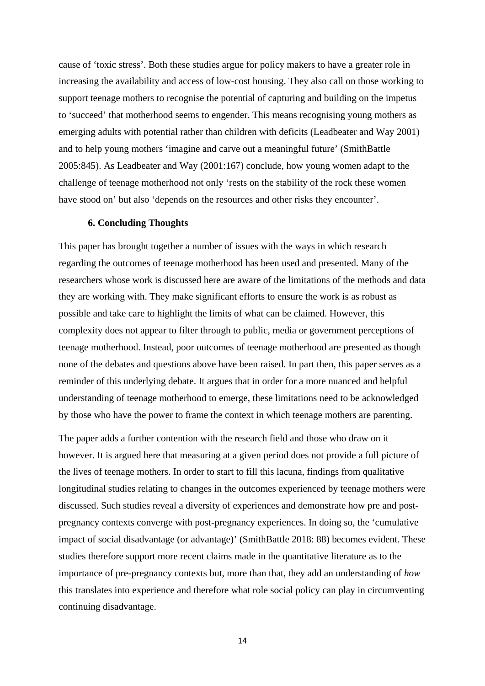cause of 'toxic stress'. Both these studies argue for policy makers to have a greater role in increasing the availability and access of low-cost housing. They also call on those working to support teenage mothers to recognise the potential of capturing and building on the impetus to 'succeed' that motherhood seems to engender. This means recognising young mothers as emerging adults with potential rather than children with deficits (Leadbeater and Way 2001) and to help young mothers 'imagine and carve out a meaningful future' (SmithBattle 2005:845). As Leadbeater and Way (2001:167) conclude, how young women adapt to the challenge of teenage motherhood not only 'rests on the stability of the rock these women have stood on' but also 'depends on the resources and other risks they encounter'.

#### **6. Concluding Thoughts**

This paper has brought together a number of issues with the ways in which research regarding the outcomes of teenage motherhood has been used and presented. Many of the researchers whose work is discussed here are aware of the limitations of the methods and data they are working with. They make significant efforts to ensure the work is as robust as possible and take care to highlight the limits of what can be claimed. However, this complexity does not appear to filter through to public, media or government perceptions of teenage motherhood. Instead, poor outcomes of teenage motherhood are presented as though none of the debates and questions above have been raised. In part then, this paper serves as a reminder of this underlying debate. It argues that in order for a more nuanced and helpful understanding of teenage motherhood to emerge, these limitations need to be acknowledged by those who have the power to frame the context in which teenage mothers are parenting.

The paper adds a further contention with the research field and those who draw on it however. It is argued here that measuring at a given period does not provide a full picture of the lives of teenage mothers. In order to start to fill this lacuna, findings from qualitative longitudinal studies relating to changes in the outcomes experienced by teenage mothers were discussed. Such studies reveal a diversity of experiences and demonstrate how pre and postpregnancy contexts converge with post-pregnancy experiences. In doing so, the 'cumulative impact of social disadvantage (or advantage)' (SmithBattle 2018: 88) becomes evident. These studies therefore support more recent claims made in the quantitative literature as to the importance of pre-pregnancy contexts but, more than that, they add an understanding of *how* this translates into experience and therefore what role social policy can play in circumventing continuing disadvantage.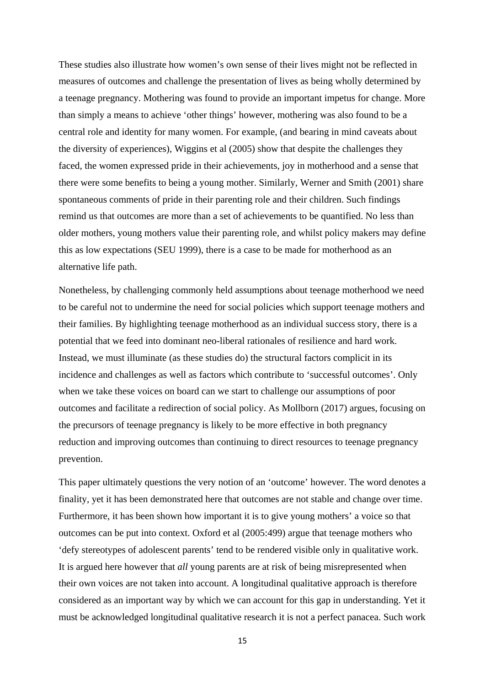These studies also illustrate how women's own sense of their lives might not be reflected in measures of outcomes and challenge the presentation of lives as being wholly determined by a teenage pregnancy. Mothering was found to provide an important impetus for change. More than simply a means to achieve 'other things' however, mothering was also found to be a central role and identity for many women. For example, (and bearing in mind caveats about the diversity of experiences), Wiggins et al (2005) show that despite the challenges they faced, the women expressed pride in their achievements, joy in motherhood and a sense that there were some benefits to being a young mother. Similarly, Werner and Smith (2001) share spontaneous comments of pride in their parenting role and their children. Such findings remind us that outcomes are more than a set of achievements to be quantified. No less than older mothers, young mothers value their parenting role, and whilst policy makers may define this as low expectations (SEU 1999), there is a case to be made for motherhood as an alternative life path.

Nonetheless, by challenging commonly held assumptions about teenage motherhood we need to be careful not to undermine the need for social policies which support teenage mothers and their families. By highlighting teenage motherhood as an individual success story, there is a potential that we feed into dominant neo-liberal rationales of resilience and hard work. Instead, we must illuminate (as these studies do) the structural factors complicit in its incidence and challenges as well as factors which contribute to 'successful outcomes'. Only when we take these voices on board can we start to challenge our assumptions of poor outcomes and facilitate a redirection of social policy. As Mollborn (2017) argues, focusing on the precursors of teenage pregnancy is likely to be more effective in both pregnancy reduction and improving outcomes than continuing to direct resources to teenage pregnancy prevention.

This paper ultimately questions the very notion of an 'outcome' however. The word denotes a finality, yet it has been demonstrated here that outcomes are not stable and change over time. Furthermore, it has been shown how important it is to give young mothers' a voice so that outcomes can be put into context. Oxford et al (2005:499) argue that teenage mothers who 'defy stereotypes of adolescent parents' tend to be rendered visible only in qualitative work. It is argued here however that *all* young parents are at risk of being misrepresented when their own voices are not taken into account. A longitudinal qualitative approach is therefore considered as an important way by which we can account for this gap in understanding. Yet it must be acknowledged longitudinal qualitative research it is not a perfect panacea. Such work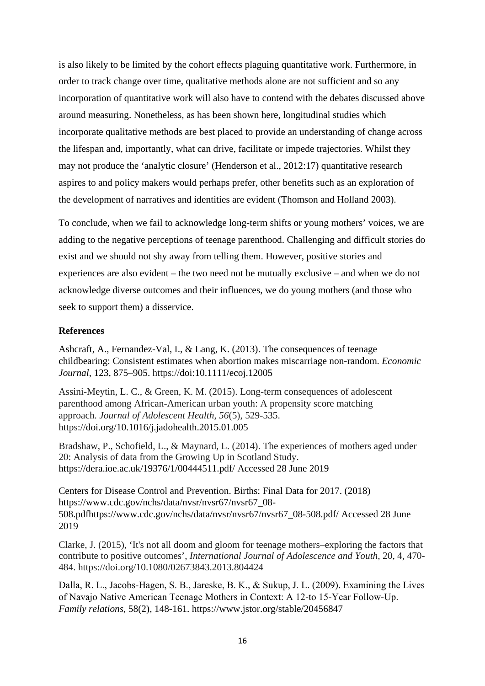is also likely to be limited by the cohort effects plaguing quantitative work. Furthermore, in order to track change over time, qualitative methods alone are not sufficient and so any incorporation of quantitative work will also have to contend with the debates discussed above around measuring. Nonetheless, as has been shown here, longitudinal studies which incorporate qualitative methods are best placed to provide an understanding of change across the lifespan and, importantly, what can drive, facilitate or impede trajectories. Whilst they may not produce the 'analytic closure' (Henderson et al., 2012:17) quantitative research aspires to and policy makers would perhaps prefer, other benefits such as an exploration of the development of narratives and identities are evident (Thomson and Holland 2003).

To conclude, when we fail to acknowledge long-term shifts or young mothers' voices, we are adding to the negative perceptions of teenage parenthood. Challenging and difficult stories do exist and we should not shy away from telling them. However, positive stories and experiences are also evident – the two need not be mutually exclusive – and when we do not acknowledge diverse outcomes and their influences, we do young mothers (and those who seek to support them) a disservice.

# **References**

Ashcraft, A., Fernandez-Val, I., & Lang, K. (2013). The consequences of teenage childbearing: Consistent estimates when abortion makes miscarriage non-random. *Economic Journal*, 123, 875–905. https://doi:10.1111/ecoj.12005

Assini-Meytin, L. C., & Green, K. M. (2015). Long-term consequences of adolescent parenthood among African-American urban youth: A propensity score matching approach. *Journal of Adolescent Health*, *56*(5), 529-535. https://doi.org/10.1016/j.jadohealth.2015.01.005

Bradshaw, P., Schofield, L., & Maynard, L. (2014). The experiences of mothers aged under 20: Analysis of data from the Growing Up in Scotland Study. https://dera.ioe.ac.uk/19376/1/00444511.pdf/ Accessed 28 June 2019

Centers for Disease Control and Prevention. Births: Final Data for 2017. (2018) https://www.cdc.gov/nchs/data/nvsr/nvsr67/nvsr67\_08- 508.pdfhttps://www.cdc.gov/nchs/data/nvsr/nvsr67/nvsr67\_08-508.pdf/ Accessed 28 June 2019

Clarke, J. (2015), 'It's not all doom and gloom for teenage mothers–exploring the factors that contribute to positive outcomes', *International Journal of Adolescence and Youth*, 20, 4, 470- 484. https://doi.org/10.1080/02673843.2013.804424

Dalla, R. L., Jacobs‐Hagen, S. B., Jareske, B. K., & Sukup, J. L. (2009). Examining the Lives of Navajo Native American Teenage Mothers in Context: A 12‐to 15‐Year Follow‐Up. *Family relations*, 58(2), 148-161. https://www.jstor.org/stable/20456847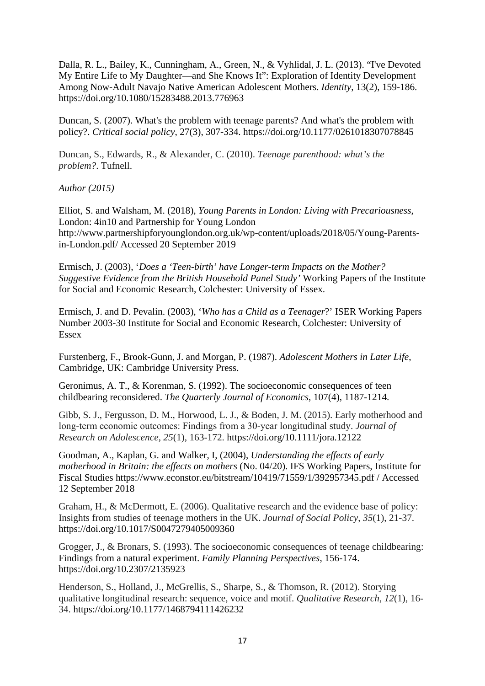Dalla, R. L., Bailey, K., Cunningham, A., Green, N., & Vyhlidal, J. L. (2013). "I've Devoted My Entire Life to My Daughter—and She Knows It": Exploration of Identity Development Among Now-Adult Navajo Native American Adolescent Mothers. *Identity*, 13(2), 159-186. https://doi.org/10.1080/15283488.2013.776963

Duncan, S. (2007). What's the problem with teenage parents? And what's the problem with policy?. *Critical social policy*, 27(3), 307-334. https://doi.org/10.1177/0261018307078845

Duncan, S., Edwards, R., & Alexander, C. (2010). *Teenage parenthood: what's the problem?*. Tufnell.

*Author (2015)* 

Elliot, S. and Walsham, M. (2018), *Young Parents in London: Living with Precariousness*, London: 4in10 and Partnership for Young London http://www.partnershipforyounglondon.org.uk/wp-content/uploads/2018/05/Young-Parentsin-London.pdf/ Accessed 20 September 2019

Ermisch, J. (2003), '*Does a 'Teen-birth' have Longer-term Impacts on the Mother? Suggestive Evidence from the British Household Panel Study'* Working Papers of the Institute for Social and Economic Research, Colchester: University of Essex.

Ermisch, J. and D. Pevalin. (2003), '*Who has a Child as a Teenager*?' ISER Working Papers Number 2003-30 Institute for Social and Economic Research, Colchester: University of Essex

Furstenberg, F., Brook-Gunn, J. and Morgan, P. (1987). *Adolescent Mothers in Later Life*, Cambridge, UK: Cambridge University Press.

Geronimus, A. T., & Korenman, S. (1992). The socioeconomic consequences of teen childbearing reconsidered. *The Quarterly Journal of Economics*, 107(4), 1187-1214.

Gibb, S. J., Fergusson, D. M., Horwood, L. J., & Boden, J. M. (2015). Early motherhood and long‐term economic outcomes: Findings from a 30‐year longitudinal study. *Journal of Research on Adolescence*, *25*(1), 163-172. https://doi.org/10.1111/jora.12122

Goodman, A., Kaplan, G. and Walker, I, (2004), *Understanding the effects of early motherhood in Britain: the effects on mothers* (No. 04/20). IFS Working Papers, Institute for Fiscal Studies https://www.econstor.eu/bitstream/10419/71559/1/392957345.pdf / Accessed 12 September 2018

Graham, H., & McDermott, E. (2006). Qualitative research and the evidence base of policy: Insights from studies of teenage mothers in the UK. *Journal of Social Policy*, *35*(1), 21-37. https://doi.org/10.1017/S0047279405009360

Grogger, J., & Bronars, S. (1993). The socioeconomic consequences of teenage childbearing: Findings from a natural experiment. *Family Planning Perspectives*, 156-174. https://doi.org/10.2307/2135923

Henderson, S., Holland, J., McGrellis, S., Sharpe, S., & Thomson, R. (2012). Storying qualitative longitudinal research: sequence, voice and motif. *Qualitative Research*, *12*(1), 16- 34. https://doi.org/10.1177/1468794111426232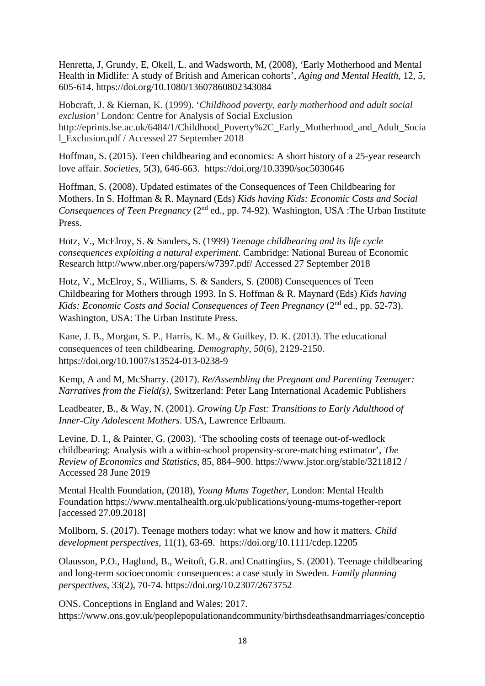Henretta, J, Grundy, E, Okell, L. and Wadsworth, M, (2008), 'Early Motherhood and Mental Health in Midlife: A study of British and American cohorts', *Aging and Mental Health*, 12, 5, 605-614. https://doi.org/10.1080/13607860802343084

Hobcraft, J. & Kiernan, K. (1999). '*Childhood poverty, early motherhood and adult social exclusion'* London: Centre for Analysis of Social Exclusion http://eprints.lse.ac.uk/6484/1/Childhood\_Poverty%2C\_Early\_Motherhood\_and\_Adult\_Socia l\_Exclusion.pdf / Accessed 27 September 2018

Hoffman, S. (2015). Teen childbearing and economics: A short history of a 25-year research love affair. *Societies*, 5(3), 646-663. https://doi.org/10.3390/soc5030646

Hoffman, S. (2008). Updated estimates of the Consequences of Teen Childbearing for Mothers. In S. Hoffman & R. Maynard (Eds) *Kids having Kids: Economic Costs and Social Consequences of Teen Pregnancy* (2<sup>nd</sup> ed., pp. 74-92). Washington, USA :The Urban Institute Press.

Hotz, V., McElroy, S. & Sanders, S. (1999) *Teenage childbearing and its life cycle consequences exploiting a natural experiment*. Cambridge: National Bureau of Economic Research http://www.nber.org/papers/w7397.pdf/ Accessed 27 September 2018

Hotz, V., McElroy, S., Williams, S. & Sanders, S. (2008) Consequences of Teen Childbearing for Mothers through 1993. In S. Hoffman & R. Maynard (Eds) *Kids having Kids: Economic Costs and Social Consequences of Teen Pregnancy (2nd ed., pp. 52-73).* Washington, USA: The Urban Institute Press.

Kane, J. B., Morgan, S. P., Harris, K. M., & Guilkey, D. K. (2013). The educational consequences of teen childbearing. *Demography*, *50*(6), 2129-2150. https://doi.org/10.1007/s13524-013-0238-9

Kemp, A and M, McSharry. (2017). *Re/Assembling the Pregnant and Parenting Teenager: Narratives from the Field(s),* Switzerland: Peter Lang International Academic Publishers

Leadbeater, B., & Way, N. (2001). *Growing Up Fast: Transitions to Early Adulthood of Inner-City Adolescent Mothers*. USA, Lawrence Erlbaum.

Levine, D. I., & Painter, G. (2003). 'The schooling costs of teenage out-of-wedlock childbearing: Analysis with a within-school propensity-score-matching estimator', *The Review of Economics and Statistics*, 85, 884–900. https://www.jstor.org/stable/3211812 / Accessed 28 June 2019

Mental Health Foundation, (2018), *Young Mums Together*, London: Mental Health Foundation https://www.mentalhealth.org.uk/publications/young-mums-together-report [accessed 27.09.2018]

Mollborn, S. (2017). Teenage mothers today: what we know and how it matters*. Child development perspectives*, 11(1), 63-69. https://doi.org/10.1111/cdep.12205

Olausson, P.O., Haglund, B., Weitoft, G.R. and Cnattingius, S. (2001). Teenage childbearing and long-term socioeconomic consequences: a case study in Sweden. *Family planning perspectives*, 33(2), 70-74. https://doi.org/10.2307/2673752

ONS. Conceptions in England and Wales: 2017. https://www.ons.gov.uk/peoplepopulationandcommunity/birthsdeathsandmarriages/conceptio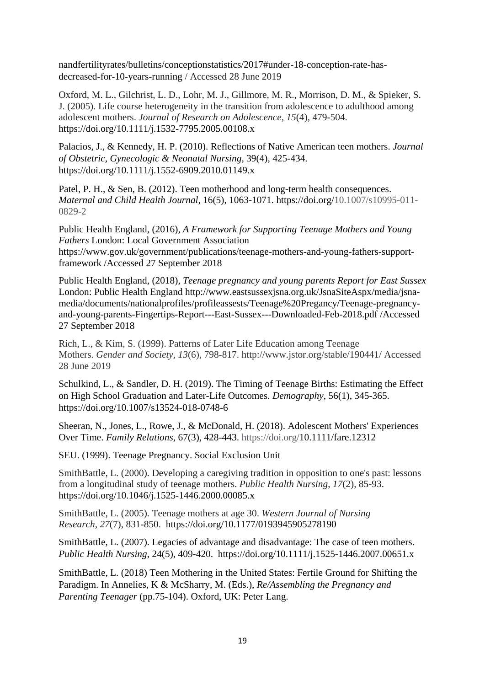nandfertilityrates/bulletins/conceptionstatistics/2017#under-18-conception-rate-hasdecreased-for-10-years-running / Accessed 28 June 2019

Oxford, M. L., Gilchrist, L. D., Lohr, M. J., Gillmore, M. R., Morrison, D. M., & Spieker, S. J. (2005). Life course heterogeneity in the transition from adolescence to adulthood among adolescent mothers. *Journal of Research on Adolescence*, *15*(4), 479-504. https://doi.org/10.1111/j.1532-7795.2005.00108.x

Palacios, J., & Kennedy, H. P. (2010). Reflections of Native American teen mothers. *Journal of Obstetric, Gynecologic & Neonatal Nursing*, 39(4), 425-434. https://doi.org/10.1111/j.1552-6909.2010.01149.x

Patel, P. H., & Sen, B. (2012). Teen motherhood and long-term health consequences. *Maternal and Child Health Journal*, 16(5), 1063-1071. https://doi.org/10.1007/s10995-011- 0829-2

Public Health England, (2016), *A Framework for Supporting Teenage Mothers and Young Fathers* London: Local Government Association https://www.gov.uk/government/publications/teenage-mothers-and-young-fathers-supportframework /Accessed 27 September 2018

Public Health England, (2018), *Teenage pregnancy and young parents Report for East Sussex*  London: Public Health England http://www.eastsussexjsna.org.uk/JsnaSiteAspx/media/jsnamedia/documents/nationalprofiles/profileassests/Teenage%20Pregancy/Teenage-pregnancyand-young-parents-Fingertips-Report---East-Sussex---Downloaded-Feb-2018.pdf /Accessed 27 September 2018

Rich, L., & Kim, S. (1999). Patterns of Later Life Education among Teenage Mothers. *Gender and Society, 13*(6), 798-817. http://www.jstor.org/stable/190441/ Accessed 28 June 2019

Schulkind, L., & Sandler, D. H. (2019). The Timing of Teenage Births: Estimating the Effect on High School Graduation and Later-Life Outcomes. *Demography*, 56(1), 345-365. https://doi.org/10.1007/s13524-018-0748-6

Sheeran, N., Jones, L., Rowe, J., & McDonald, H. (2018). Adolescent Mothers' Experiences Over Time. *Family Relations*, 67(3), 428-443. https://doi.org/10.1111/fare.12312

SEU. (1999). Teenage Pregnancy. Social Exclusion Unit

SmithBattle, L. (2000). Developing a caregiving tradition in opposition to one's past: lessons from a longitudinal study of teenage mothers. *Public Health Nursing*, *17*(2), 85-93. https://doi.org/10.1046/j.1525-1446.2000.00085.x

SmithBattle, L. (2005). Teenage mothers at age 30. *Western Journal of Nursing Research*, *27*(7), 831-850. https://doi.org/10.1177/0193945905278190

SmithBattle, L. (2007). Legacies of advantage and disadvantage: The case of teen mothers. *Public Health Nursing*, 24(5), 409-420. https://doi.org/10.1111/j.1525-1446.2007.00651.x

SmithBattle, L. (2018) Teen Mothering in the United States: Fertile Ground for Shifting the Paradigm. In Annelies, K & McSharry, M. (Eds.), *Re/Assembling the Pregnancy and Parenting Teenager* (pp.75-104). Oxford, UK: Peter Lang.